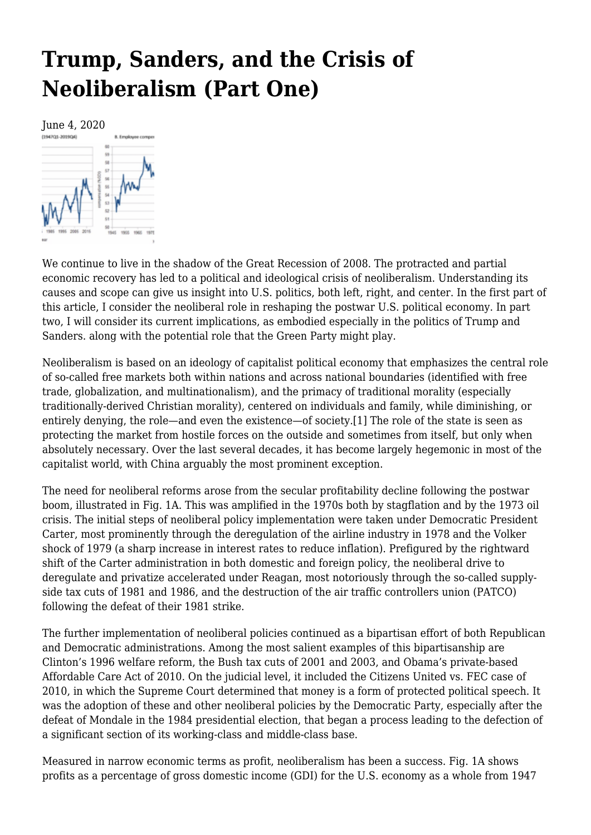# **[Trump, Sanders, and the Crisis of](https://newpol.org/trump-sanders-and-the-crisis-of-neoliberalism-part-one/) [Neoliberalism \(Part One\)](https://newpol.org/trump-sanders-and-the-crisis-of-neoliberalism-part-one/)**



We continue to live in the shadow of the Great Recession of 2008. The protracted and partial economic recovery has led to a political and ideological crisis of neoliberalism. Understanding its causes and scope can give us insight into U.S. politics, both left, right, and center. In the first part of this article, I consider the neoliberal role in reshaping the postwar U.S. political economy. In part two, I will consider its current implications, as embodied especially in the politics of Trump and Sanders. along with the potential role that the Green Party might play.

<span id="page-0-0"></span>Neoliberalism is based on an ideology of capitalist political economy that emphasizes the central role of so-called free markets both within nations and across national boundaries (identified with free trade, globalization, and multinationalism), and the primacy of traditional morality (especially traditionally-derived Christian morality), centered on individuals and family, while diminishing, or entirely denying, the role—and even the existence—of society.[\[1\]](#page-5-0) The role of the state is seen as protecting the market from hostile forces on the outside and sometimes from itself, but only when absolutely necessary. Over the last several decades, it has become largely hegemonic in most of the capitalist world, with China arguably the most prominent exception.

The need for neoliberal reforms arose from the secular profitability decline following the postwar boom, illustrated in Fig. 1A. This was amplified in the 1970s both by stagflation and by the 1973 oil crisis. The initial steps of neoliberal policy implementation were taken under Democratic President Carter, most prominently through the deregulation of the airline industry in 1978 and the Volker shock of 1979 (a sharp increase in interest rates to reduce inflation). Prefigured by the rightward shift of the Carter administration in both domestic and foreign policy, the neoliberal drive to deregulate and privatize accelerated under Reagan, most notoriously through the so-called supplyside tax cuts of 1981 and 1986, and the destruction of the air traffic controllers union (PATCO) following the defeat of their 1981 strike.

The further implementation of neoliberal policies continued as a bipartisan effort of both Republican and Democratic administrations. Among the most salient examples of this bipartisanship are Clinton's 1996 welfare reform, the Bush tax cuts of 2001 and 2003, and Obama's private-based Affordable Care Act of 2010. On the judicial level, it included the Citizens United vs. FEC case of 2010, in which the Supreme Court determined that money is a form of protected political speech. It was the adoption of these and other neoliberal policies by the Democratic Party, especially after the defeat of Mondale in the 1984 presidential election, that began a process leading to the defection of a significant section of its working-class and middle-class base.

Measured in narrow economic terms as profit, neoliberalism has been a success. Fig. 1A shows profits as a percentage of gross domestic income (GDI) for the U.S. economy as a whole from 1947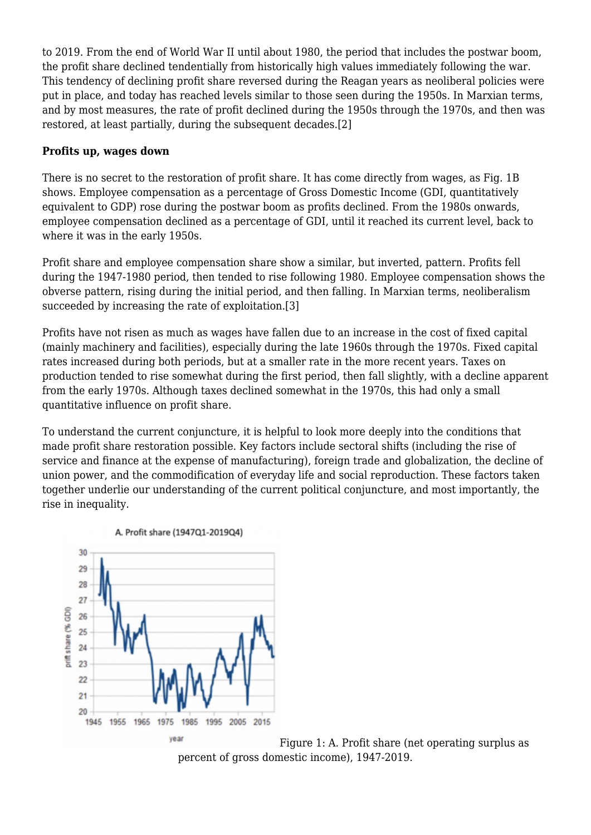to 2019. From the end of World War II until about 1980, the period that includes the postwar boom, the profit share declined tendentially from historically high values immediately following the war. This tendency of declining profit share reversed during the Reagan years as neoliberal policies were put in place, and today has reached levels similar to those seen during the 1950s. In Marxian terms, and by most measures, the rate of profit declined during the 1950s through the 1970s, and then was restored, at least partially, during the subsequent decades[.\[2\]](#page-5-1)

#### <span id="page-1-0"></span>**Profits up, wages down**

There is no secret to the restoration of profit share. It has come directly from wages, as Fig. 1B shows. Employee compensation as a percentage of Gross Domestic Income (GDI, quantitatively equivalent to GDP) rose during the postwar boom as profits declined. From the 1980s onwards, employee compensation declined as a percentage of GDI, until it reached its current level, back to where it was in the early 1950s.

Profit share and employee compensation share show a similar, but inverted, pattern. Profits fell during the 1947-1980 period, then tended to rise following 1980. Employee compensation shows the obverse pattern, rising during the initial period, and then falling. In Marxian terms, neoliberalism succeeded by increasing the rate of exploitation[.\[3\]](#page-5-2)

<span id="page-1-1"></span>Profits have not risen as much as wages have fallen due to an increase in the cost of fixed capital (mainly machinery and facilities), especially during the late 1960s through the 1970s. Fixed capital rates increased during both periods, but at a smaller rate in the more recent years. Taxes on production tended to rise somewhat during the first period, then fall slightly, with a decline apparent from the early 1970s. Although taxes declined somewhat in the 1970s, this had only a small quantitative influence on profit share.

To understand the current conjuncture, it is helpful to look more deeply into the conditions that made profit share restoration possible. Key factors include sectoral shifts (including the rise of service and finance at the expense of manufacturing), foreign trade and globalization, the decline of union power, and the commodification of everyday life and social reproduction. These factors taken together underlie our understanding of the current political conjuncture, and most importantly, the rise in inequality.



Figure 1: A. Profit share (net operating surplus as percent of gross domestic income), 1947-2019.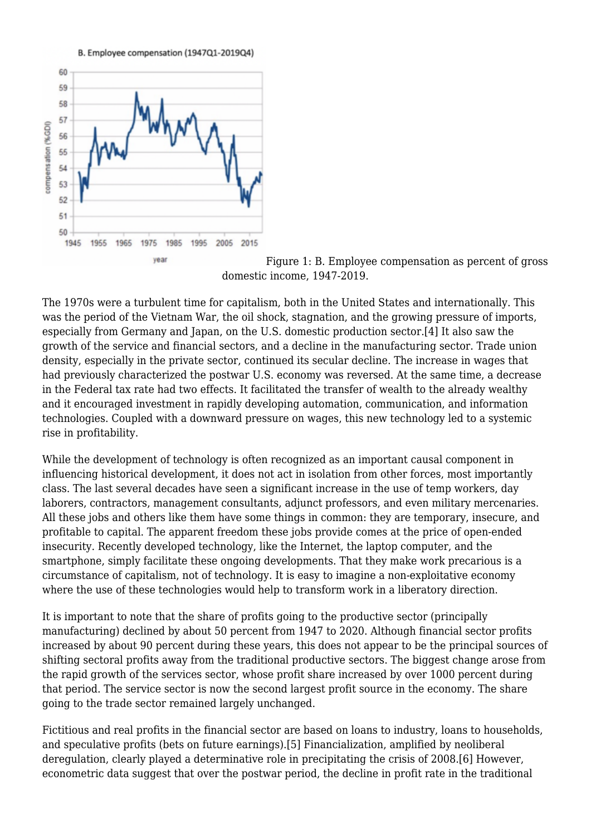B. Employee compensation (1947Q1-2019Q4)



Figure 1: B. Employee compensation as percent of gross domestic income, 1947-2019.

<span id="page-2-0"></span>The 1970s were a turbulent time for capitalism, both in the United States and internationally. This was the period of the Vietnam War, the oil shock, stagnation, and the growing pressure of imports, especially from Germany and Japan, on the U.S. domestic production sector.[\[4\]](#page-5-3) It also saw the growth of the service and financial sectors, and a decline in the manufacturing sector. Trade union density, especially in the private sector, continued its secular decline. The increase in wages that had previously characterized the postwar U.S. economy was reversed. At the same time, a decrease in the Federal tax rate had two effects. It facilitated the transfer of wealth to the already wealthy and it encouraged investment in rapidly developing automation, communication, and information technologies. Coupled with a downward pressure on wages, this new technology led to a systemic rise in profitability.

While the development of technology is often recognized as an important causal component in influencing historical development, it does not act in isolation from other forces, most importantly class. The last several decades have seen a significant increase in the use of temp workers, day laborers, contractors, management consultants, adjunct professors, and even military mercenaries. All these jobs and others like them have some things in common: they are temporary, insecure, and profitable to capital. The apparent freedom these jobs provide comes at the price of open-ended insecurity. Recently developed technology, like the Internet, the laptop computer, and the smartphone, simply facilitate these ongoing developments. That they make work precarious is a circumstance of capitalism, not of technology. It is easy to imagine a non-exploitative economy where the use of these technologies would help to transform work in a liberatory direction.

It is important to note that the share of profits going to the productive sector (principally manufacturing) declined by about 50 percent from 1947 to 2020. Although financial sector profits increased by about 90 percent during these years, this does not appear to be the principal sources of shifting sectoral profits away from the traditional productive sectors. The biggest change arose from the rapid growth of the services sector, whose profit share increased by over 1000 percent during that period. The service sector is now the second largest profit source in the economy. The share going to the trade sector remained largely unchanged.

<span id="page-2-2"></span><span id="page-2-1"></span>Fictitious and real profits in the financial sector are based on loans to industry, loans to households, and speculative profits (bets on future earnings).[\[5\]](#page-6-0) Financialization, amplified by neoliberal deregulation, clearly played a determinative role in precipitating the crisis of 2008[.\[6\]](#page-6-1) However, econometric data suggest that over the postwar period, the decline in profit rate in the traditional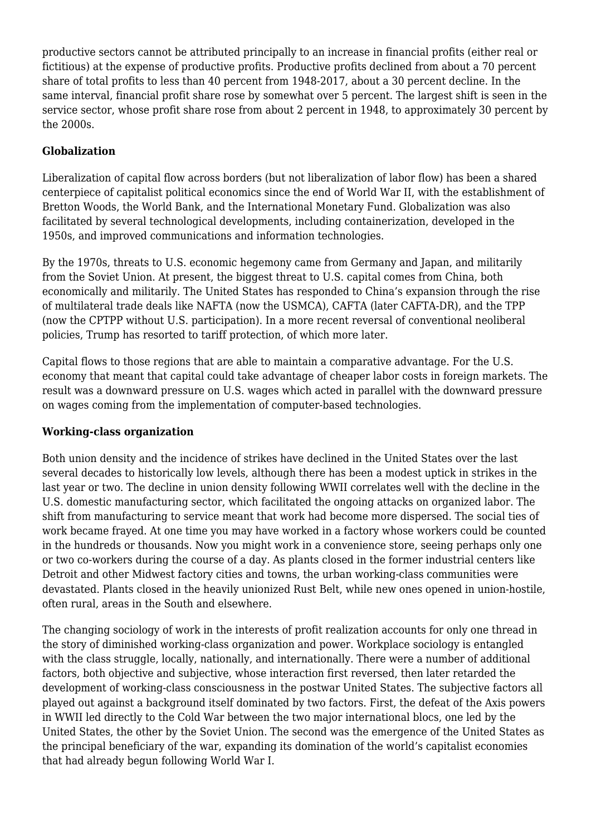productive sectors cannot be attributed principally to an increase in financial profits (either real or fictitious) at the expense of productive profits. Productive profits declined from about a 70 percent share of total profits to less than 40 percent from 1948-2017, about a 30 percent decline. In the same interval, financial profit share rose by somewhat over 5 percent. The largest shift is seen in the service sector, whose profit share rose from about 2 percent in 1948, to approximately 30 percent by the 2000s.

## **Globalization**

Liberalization of capital flow across borders (but not liberalization of labor flow) has been a shared centerpiece of capitalist political economics since the end of World War II, with the establishment of Bretton Woods, the World Bank, and the International Monetary Fund. Globalization was also facilitated by several technological developments, including containerization, developed in the 1950s, and improved communications and information technologies.

By the 1970s, threats to U.S. economic hegemony came from Germany and Japan, and militarily from the Soviet Union. At present, the biggest threat to U.S. capital comes from China, both economically and militarily. The United States has responded to China's expansion through the rise of multilateral trade deals like NAFTA (now the USMCA), CAFTA (later CAFTA-DR), and the TPP (now the CPTPP without U.S. participation). In a more recent reversal of conventional neoliberal policies, Trump has resorted to tariff protection, of which more later.

Capital flows to those regions that are able to maintain a comparative advantage. For the U.S. economy that meant that capital could take advantage of cheaper labor costs in foreign markets. The result was a downward pressure on U.S. wages which acted in parallel with the downward pressure on wages coming from the implementation of computer-based technologies.

### **Working-class organization**

Both union density and the incidence of strikes have declined in the United States over the last several decades to historically low levels, although there has been a modest uptick in strikes in the last year or two. The decline in union density following WWII correlates well with the decline in the U.S. domestic manufacturing sector, which facilitated the ongoing attacks on organized labor. The shift from manufacturing to service meant that work had become more dispersed. The social ties of work became frayed. At one time you may have worked in a factory whose workers could be counted in the hundreds or thousands. Now you might work in a convenience store, seeing perhaps only one or two co-workers during the course of a day. As plants closed in the former industrial centers like Detroit and other Midwest factory cities and towns, the urban working-class communities were devastated. Plants closed in the heavily unionized Rust Belt, while new ones opened in union-hostile, often rural, areas in the South and elsewhere.

The changing sociology of work in the interests of profit realization accounts for only one thread in the story of diminished working-class organization and power. Workplace sociology is entangled with the class struggle, locally, nationally, and internationally. There were a number of additional factors, both objective and subjective, whose interaction first reversed, then later retarded the development of working-class consciousness in the postwar United States. The subjective factors all played out against a background itself dominated by two factors. First, the defeat of the Axis powers in WWII led directly to the Cold War between the two major international blocs, one led by the United States, the other by the Soviet Union. The second was the emergence of the United States as the principal beneficiary of the war, expanding its domination of the world's capitalist economies that had already begun following World War I.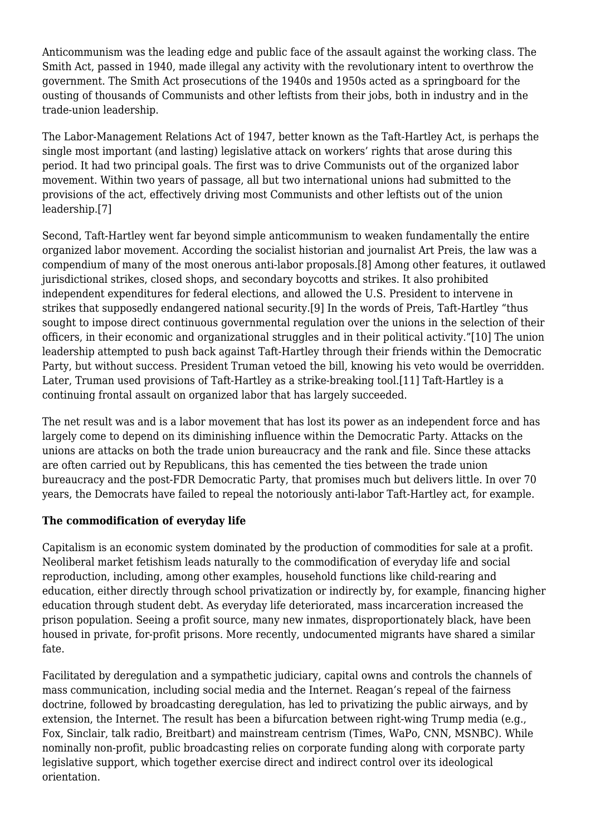Anticommunism was the leading edge and public face of the assault against the working class. The Smith Act, passed in 1940, made illegal any activity with the revolutionary intent to overthrow the government. The Smith Act prosecutions of the 1940s and 1950s acted as a springboard for the ousting of thousands of Communists and other leftists from their jobs, both in industry and in the trade-union leadership.

The Labor-Management Relations Act of 1947, better known as the Taft-Hartley Act, is perhaps the single most important (and lasting) legislative attack on workers' rights that arose during this period. It had two principal goals. The first was to drive Communists out of the organized labor movement. Within two years of passage, all but two international unions had submitted to the provisions of the act, effectively driving most Communists and other leftists out of the union leadership[.\[7\]](#page-6-2)

<span id="page-4-2"></span><span id="page-4-1"></span><span id="page-4-0"></span>Second, Taft-Hartley went far beyond simple anticommunism to weaken fundamentally the entire organized labor movement. According the socialist historian and journalist Art Preis, the law was a compendium of many of the most onerous anti-labor proposals[.\[8\]](#page-6-3) Among other features, it outlawed jurisdictional strikes, closed shops, and secondary boycotts and strikes. It also prohibited independent expenditures for federal elections, and allowed the U.S. President to intervene in strikes that supposedly endangered national security.[\[9\]](#page-6-4) In the words of Preis, Taft-Hartley "thus sought to impose direct continuous governmental regulation over the unions in the selection of their officers, in their economic and organizational struggles and in their political activity."[\[10\]](#page-6-5) The union leadership attempted to push back against Taft-Hartley through their friends within the Democratic Party, but without success. President Truman vetoed the bill, knowing his veto would be overridden. Later, Truman used provisions of Taft-Hartley as a strike-breaking tool[.\[11\]](#page-6-6) Taft-Hartley is a continuing frontal assault on organized labor that has largely succeeded.

<span id="page-4-4"></span><span id="page-4-3"></span>The net result was and is a labor movement that has lost its power as an independent force and has largely come to depend on its diminishing influence within the Democratic Party. Attacks on the unions are attacks on both the trade union bureaucracy and the rank and file. Since these attacks are often carried out by Republicans, this has cemented the ties between the trade union bureaucracy and the post-FDR Democratic Party, that promises much but delivers little. In over 70 years, the Democrats have failed to repeal the notoriously anti-labor Taft-Hartley act, for example.

### **The commodification of everyday life**

Capitalism is an economic system dominated by the production of commodities for sale at a profit. Neoliberal market fetishism leads naturally to the commodification of everyday life and social reproduction, including, among other examples, household functions like child-rearing and education, either directly through school privatization or indirectly by, for example, financing higher education through student debt. As everyday life deteriorated, mass incarceration increased the prison population. Seeing a profit source, many new inmates, disproportionately black, have been housed in private, for-profit prisons. More recently, undocumented migrants have shared a similar fate.

Facilitated by deregulation and a sympathetic judiciary, capital owns and controls the channels of mass communication, including social media and the Internet. Reagan's repeal of the fairness doctrine, followed by broadcasting deregulation, has led to privatizing the public airways, and by extension, the Internet. The result has been a bifurcation between right-wing Trump media (e.g., Fox, Sinclair, talk radio, Breitbart) and mainstream centrism (Times, WaPo, CNN, MSNBC). While nominally non-profit, public broadcasting relies on corporate funding along with corporate party legislative support, which together exercise direct and indirect control over its ideological orientation.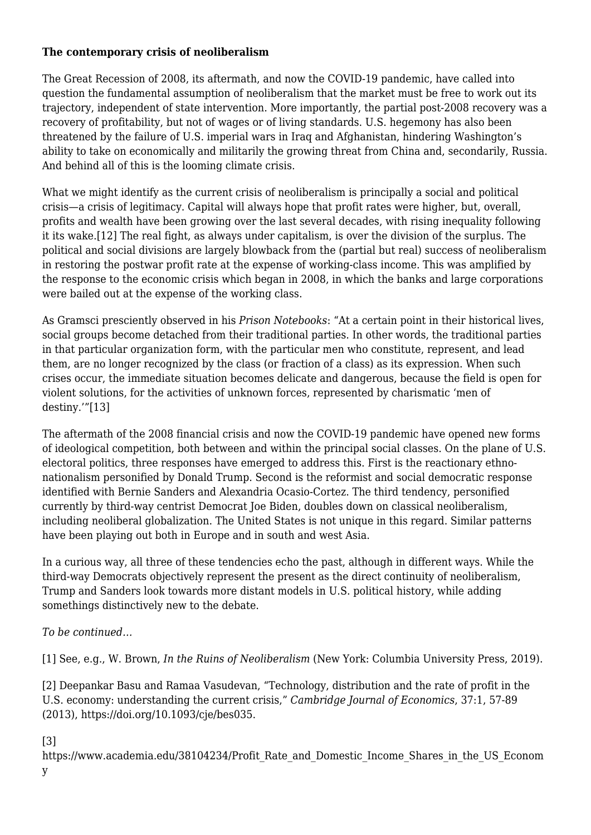#### **The contemporary crisis of neoliberalism**

The Great Recession of 2008, its aftermath, and now the COVID-19 pandemic, have called into question the fundamental assumption of neoliberalism that the market must be free to work out its trajectory, independent of state intervention. More importantly, the partial post-2008 recovery was a recovery of profitability, but not of wages or of living standards. U.S. hegemony has also been threatened by the failure of U.S. imperial wars in Iraq and Afghanistan, hindering Washington's ability to take on economically and militarily the growing threat from China and, secondarily, Russia. And behind all of this is the looming climate crisis.

<span id="page-5-4"></span>What we might identify as the current crisis of neoliberalism is principally a social and political crisis—a crisis of legitimacy. Capital will always hope that profit rates were higher, but, overall, profits and wealth have been growing over the last several decades, with rising inequality following it its wake.[\[12\]](#page-6-7) The real fight, as always under capitalism, is over the division of the surplus. The political and social divisions are largely blowback from the (partial but real) success of neoliberalism in restoring the postwar profit rate at the expense of working-class income. This was amplified by the response to the economic crisis which began in 2008, in which the banks and large corporations were bailed out at the expense of the working class.

As Gramsci presciently observed in his *Prison Notebooks*: "At a certain point in their historical lives, social groups become detached from their traditional parties. In other words, the traditional parties in that particular organization form, with the particular men who constitute, represent, and lead them, are no longer recognized by the class (or fraction of a class) as its expression. When such crises occur, the immediate situation becomes delicate and dangerous, because the field is open for violent solutions, for the activities of unknown forces, represented by charismatic 'men of destiny.'["\[13\]](#page-6-8)

<span id="page-5-5"></span>The aftermath of the 2008 financial crisis and now the COVID-19 pandemic have opened new forms of ideological competition, both between and within the principal social classes. On the plane of U.S. electoral politics, three responses have emerged to address this. First is the reactionary ethnonationalism personified by Donald Trump. Second is the reformist and social democratic response identified with Bernie Sanders and Alexandria Ocasio-Cortez. The third tendency, personified currently by third-way centrist Democrat Joe Biden, doubles down on classical neoliberalism, including neoliberal globalization. The United States is not unique in this regard. Similar patterns have been playing out both in Europe and in south and west Asia.

In a curious way, all three of these tendencies echo the past, although in different ways. While the third-way Democrats objectively represent the present as the direct continuity of neoliberalism, Trump and Sanders look towards more distant models in U.S. political history, while adding somethings distinctively new to the debate.

### *To be continued…*

<span id="page-5-0"></span>[\[1\]](#page-0-0) See, e.g., W. Brown, *In the Ruins of Neoliberalism* (New York: Columbia University Press, 2019).

<span id="page-5-1"></span>[\[2\]](#page-1-0) Deepankar Basu and Ramaa Vasudevan, "Technology, distribution and the rate of profit in the U.S. economy: understanding the current crisis," *Cambridge Journal of Economics*, 37:1, 57-89 (2013), [https://doi.org/10.1093/cje/bes035.](https://doi.org/10.1093/cje/bes035)

### <span id="page-5-2"></span>[\[3\]](#page-1-1)

<span id="page-5-3"></span>[https://www.academia.edu/38104234/Profit\\_Rate\\_and\\_Domestic\\_Income\\_Shares\\_in\\_the\\_US\\_Econom](https://www.academia.edu/38104234/Profit_Rate_and_Domestic_Income_Shares_in_the_US_Economy) [y](https://www.academia.edu/38104234/Profit_Rate_and_Domestic_Income_Shares_in_the_US_Economy)